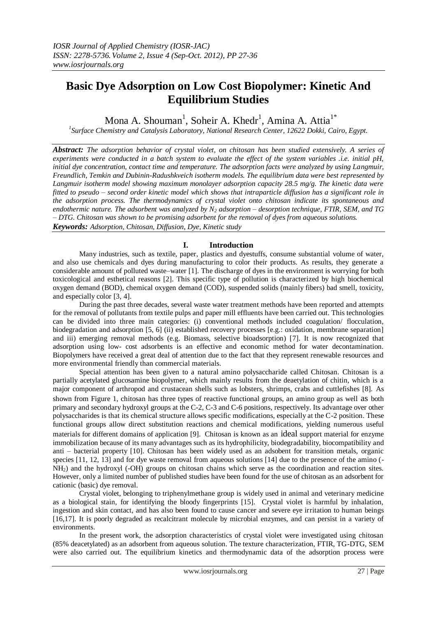# **Basic Dye Adsorption on Low Cost Biopolymer: Kinetic And Equilibrium Studies**

Mona A. Shouman<sup>1</sup>, Soheir A. Khedr<sup>1</sup>, Amina A. Attia<sup>1\*</sup>

*1 Surface Chemistry and Catalysis Laboratory, National Research Center, 12622 Dokki, Cairo, Egypt.*

*Abstract: The adsorption behavior of crystal violet, on chitosan has been studied extensively. A series of experiments were conducted in a batch system to evaluate the effect of the system variables .i.e. initial pH, initial dye concentration, contact time and temperature. The adsorption facts were analyzed by using Langmuir, Freundlich, Temkin and Dubinin-Radushkveich isotherm models. The equilibrium data were best represented by Langmuir isotherm model showing maximum monolayer adsorption capacity 28.5 mg/g. The kinetic data were fitted to pseudo – second order kinetic model which shows that intraparticle diffusion has a significant role in the adsorption process. The thermodynamics of crystal violet onto chitosan indicate its spontaneous and endothermic nature. The adsorbent was analyzed by N<sup>2</sup> adsorption – desorption technique, FTIR, SEM, and TG – DTG. Chitosan was shown to be promising adsorbent for the removal of dyes from aqueous solutions. Keywords: Adsorption, Chitosan, Diffusion, Dye, Kinetic study*

# **I. Introduction**

Many industries, such as textile, paper, plastics and dyestuffs, consume substantial volume of water, and also use chemicals and dyes during manufacturing to color their products. As results, they generate a considerable amount of polluted waste–water [1]. The discharge of dyes in the environment is worrying for both toxicological and esthetical reasons [2]. This specific type of pollution is characterized by high biochemical oxygen demand (BOD), chemical oxygen demand (COD), suspended solids (mainly fibers) bad smell, toxicity, and especially color [3, 4].

During the past three decades, several waste water treatment methods have been reported and attempts for the removal of pollutants from textile pulps and paper mill effluents have been carried out. This technologies can be divided into three main categories: (i) conventional methods included coagulation/ flocculation, biodegradation and adsorption [5, 6] (ii) established recovery processes [e.g.: oxidation, membrane separation] and iii) emerging removal methods (e.g. Biomass, selective bioadsorption) [7]. It is now recognized that adsorption using low- cost adsorbents is an effective and economic method for water decontamination. Biopolymers have received a great deal of attention due to the fact that they represent renewable resources and more environmental friendly than commercial materials.

Special attention has been given to a natural amino polysaccharide called Chitosan. Chitosan is a partially acetylated glucosamine biopolymer, which mainly results from the deaetylation of chitin, which is a major component of arthropod and crustacean shells such as lobsters, shrimps, crabs and cuttlefishes [8]. As shown from Figure 1, chitosan has three types of reactive functional groups, an amino group as well as both primary and secondary hydroxyl groups at the C-2, C-3 and C-6 positions, respectively. Its advantage over other polysaccharides is that its chemical structure allows specific modifications, especially at the C-2 position. These functional groups allow direct substitution reactions and chemical modifications, yielding numerous useful materials for different domains of application [9]. Chitosan is known as an ideal support material for enzyme immobilization because of its many advantages such as its hydrophilicity, biodegradability, biocompatibility and anti – bacterial property [10]. Chitosan has been widely used as an adsobent for transition metals, organic species [11, 12, 13] and for dye waste removal from aqueous solutions [14] due to the presence of the amino (-NH2) and the hydroxyl (-OH) groups on chitosan chains which serve as the coordination and reaction sites. However, only a limited number of published studies have been found for the use of chitosan as an adsorbent for cationic (basic) dye removal.

Crystal violet, belonging to triphenylmethane group is widely used in animal and veterinary medicine as a biological stain, for identifying the bloody fingerprints [15]. Crystal violet is harmful by inhalation, ingestion and skin contact, and has also been found to cause cancer and severe eye irritation to human beings [16,17]. It is poorly degraded as recalcitrant molecule by microbial enzymes, and can persist in a variety of environments.

In the present work, the adsorption characteristics of crystal violet were investigated using chitosan (85% deacetylated) as an adsorbent from aqueous solution. The texture characterization, FTIR, TG-DTG, SEM were also carried out. The equilibrium kinetics and thermodynamic data of the adsorption process were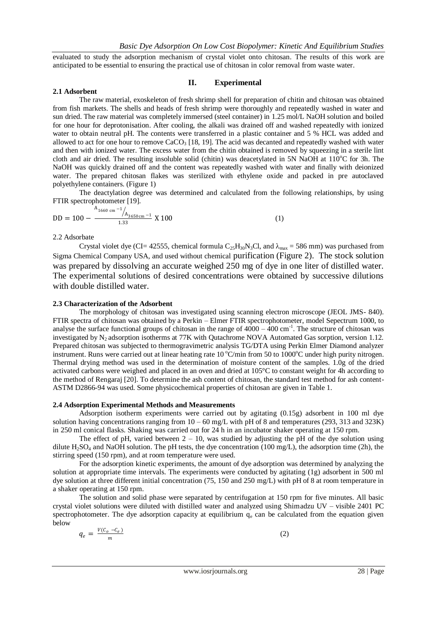evaluated to study the adsorption mechanism of crystal violet onto chitosan. The results of this work are anticipated to be essential to ensuring the practical use of chitosan in color removal from waste water.

## **II. Experimental**

## **2.1 Adsorbent**

The raw material, exoskeleton of fresh shrimp shell for preparation of chitin and chitosan was obtained from fish markets. The shells and heads of fresh shrimp were thoroughly and repeatedly washed in water and sun dried. The raw material was completely immersed (steel container) in 1.25 mol/L NaOH solution and boiled for one hour for deprotonisation. After cooling, the alkali was drained off and washed repeatedly with ionized water to obtain neutral pH. The contents were transferred in a plastic container and 5 % HCL was added and allowed to act for one hour to remove  $CaCO<sub>3</sub>$  [18, 19]. The acid was decanted and repeatedly washed with water and then with ionized water. The excess water from the chitin obtained is removed by squeezing in a sterile lint cloth and air dried. The resulting insoluble solid (chitin) was deacetylated in 5N NaOH at  $110^{\circ}$ C for 3h. The NaOH was quickly drained off and the content was repeatedly washed with water and finally with deionized water. The prepared chitosan flakes was sterilized with ethylene oxide and packed in pre autoclaved polyethylene containers. (Figure 1)

The deactylation degree was determined and calculated from the following relationships, by using FTIR spectrophotometer [19].

$$
DD = 100 - \frac{A_{1660 \text{ cm}} - 1_{A_{3650 \text{ cm}} - 1}}{1.33} \text{ X } 100 \tag{1}
$$

#### 2.2 Adsorbate

Crystal violet dye (CI= 42555, chemical formula  $C_{25}H_{30}N_3Cl$ , and  $\lambda_{max} = 586$  mm) was purchased from Sigma Chemical Company USA, and used without chemical purification (Figure 2). The stock solution was prepared by dissolving an accurate weighed 250 mg of dye in one liter of distilled water. The experimental solutions of desired concentrations were obtained by successive dilutions with double distilled water.

#### **2.3 Characterization of the Adsorbent**

The morphology of chitosan was investigated using scanning electron microscope (JEOL JMS- 840). FTIR spectra of chitosan was obtained by a Perkin – Elmer FTIR spectrophotometer, model Sepectrum 1000, to analyse the surface functional groups of chitosan in the range of  $4000 - 400$  cm<sup>-1</sup>. The structure of chitosan was investigated by N<sub>2</sub> adsorption isotherms at 77K with Qutachrome NOVA Automated Gas sorption, version 1.12. Prepared chitosan was subjected to thermogravimetric analysis TG/DTA using Perkin Elmer Diamond analyzer instrument. Runs were carried out at linear heating rate 10 °C/min from 50 to 1000°C under high purity nitrogen. Thermal drying method was used in the determination of moisture content of the samples. 1.0g of the dried activated carbons were weighed and placed in an oven and dried at 105°C to constant weight for 4h according to the method of Rengaraj [20]. To determine the ash content of chitosan, the standard test method for ash content-ASTM D2866-94 was used. Some physicochemical properties of chitosan are given in Table 1.

## **2.4 Adsorption Experimental Methods and Measurements**

Adsorption isotherm experiments were carried out by agitating (0.15g) adsorbent in 100 ml dye solution having concentrations ranging from  $10 - 60$  mg/L with pH of 8 and temperatures (293, 313 and 323K) in 250 ml conical flasks. Shaking was carried out for 24 h in an incubator shaker operating at 150 rpm.

The effect of pH, varied between  $2 - 10$ , was studied by adjusting the pH of the dye solution using dilute  $H_2SO_4$  and NaOH solution. The pH tests, the dye concentration (100 mg/L), the adsorption time (2h), the stirring speed (150 rpm), and at room temperature were used.

For the adsorption kinetic experiments, the amount of dye adsorption was determined by analyzing the solution at appropriate time intervals. The experiments were conducted by agitating (1g) adsorbent in 500 ml dye solution at three different initial concentration (75, 150 and 250 mg/L) with pH of 8 at room temperature in a shaker operating at 150 rpm.

The solution and solid phase were separated by centrifugation at 150 rpm for five minutes. All basic crystal violet solutions were diluted with distilled water and analyzed using Shimadzu UV – visible 2401 PC spectrophotometer. The dye adsorption capacity at equilibrium  $q_e$  can be calculated from the equation given below

$$
q_e = \frac{V(\mathcal{C}_o - \mathcal{C}_e)}{m} \tag{2}
$$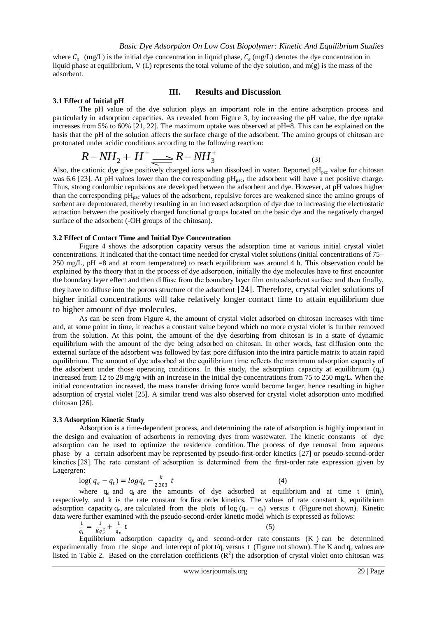where  $C_o$  (mg/L) is the initial dye concentration in liquid phase,  $C_e$  (mg/L) denotes the dye concentration in liquid phase at equilibrium, V (L) represents the total volume of the dye solution, and m(g) is the mass of the adsorbent.

#### **3.1 Effect of Initial pH**

# **III. Results and Discussion**

The pH value of the dye solution plays an important role in the entire adsorption process and particularly in adsorption capacities. As revealed from Figure 3, by increasing the pH value, the dye uptake increases from 5% to 60% [21, 22]. The maximum uptake was observed at pH=8. This can be explained on the basis that the pH of the solution affects the surface charge of the adsorbent. The amino groups of chitosan are protonated under acidic conditions according to the following reaction:

$$
R - NH_2 + H^+ \longrightarrow R - NH_3^+ \tag{3}
$$

Also, the cationic dye give positively charged ions when dissolved in water. Reported  $\rm pH_{\rm pzc}$  value for chitosan was 6.6 [23]. At pH values lower than the corresponding  $pH_{pzc}$ , the adsorbent will have a net positive charge. Thus, strong coulombic repulsions are developed between the adsorbent and dye. However, at pH values higher than the corresponding  $pH<sub>pze</sub>$  values of the adsorbent, repulsive forces are weakened since the amino groups of sorbent are deprotonated, thereby resulting in an increased adsorption of dye due to increasing the electrostatic attraction between the positively charged functional groups located on the basic dye and the negatively charged surface of the adsorbent (-OH groups of the chitosan).

#### **3.2 Effect of Contact Time and Initial Dye Concentration**

Figure 4 shows the adsorption capacity versus the adsorption time at various initial crystal violet concentrations. It indicated that the contact time needed for crystal violet solutions (initial concentrations of 75– 250 mg/L, pH =8 and at room temperature) to reach equilibrium was around 4 h. This observation could be explained by the theory that in the process of dye adsorption, initially the dye molecules have to first encounter the boundary layer effect and then diffuse from the boundary layer film onto adsorbent surface and then finally, they have to diffuse into the porous structure of the adsorbent [24]. Therefore, crystal violet solutions of higher initial concentrations will take relatively longer contact time to attain equilibrium due to higher amount of dye molecules.

As can be seen from Figure 4, the amount of crystal violet adsorbed on chitosan increases with time and, at some point in time, it reaches a constant value beyond which no more crystal violet is further removed from the solution. At this point, the amount of the dye desorbing from chitosan is in a state of dynamic equilibrium with the amount of the dye being adsorbed on chitosan. In other words, fast diffusion onto the external surface of the adsorbent was followed by fast pore diffusion into the intra particle matrix to attain rapid equilibrium. The amount of dye adsorbed at the equilibrium time reflects the maximum adsorption capacity of the adsorbent under those operating conditions. In this study, the adsorption capacity at equilibrium  $(q_e)$ increased from 12 to 28 mg/g with an increase in the initial dye concentrations from 75 to 250 mg/L. When the initial concentration increased, the mass transfer driving force would become larger, hence resulting in higher adsorption of crystal violet [25]. A similar trend was also observed for crystal violet adsorption onto modified chitosan [26].

#### **3.3 Adsorption Kinetic Study**

Adsorption is a time-dependent process, and determining the rate of adsorption is highly important in the design and evaluation of adsorbents in removing dyes from wastewater. The kinetic constants of dye adsorption can be used to optimize the residence condition. The process of dye removal from aqueous phase by a certain adsorbent may be represented by pseudo-first-order kinetics [27] or pseudo-second-order kinetics [28]. The rate constant of adsorption is determined from the first-order rate expression given by Lagergren:

$$
\log(q_e - q_t) = \log q_e - \frac{k}{2.303} t \tag{4}
$$

where  $q_e$  and  $q_t$  are the amounts of dye adsorbed at equilibrium and at time t (min), respectively, and k is the rate constant for first order kinetics. The values of rate constant k, equilibrium adsorption capacity q<sub>e</sub>, are calculated from the plots of log (q<sub>e</sub> – q<sub>t</sub>) versus t (Figure not shown). Kinetic data were further examined with the pseudo-second-order kinetic model which is expressed as follows:

$$
\frac{1}{q_t} = \frac{1}{Kq_e^2} + \frac{1}{q_e} t
$$
 (5)

Equilibrium adsorption capacity  $q_e$  and second-order rate constants (K ) can be determined experimentally from the slope and intercept of plot  $t/q_t$  versus t (Figure not shown). The K and  $q_e$  values are listed in Table 2. Based on the correlation coefficients  $(R^2)$  the adsorption of crystal violet onto chitosan was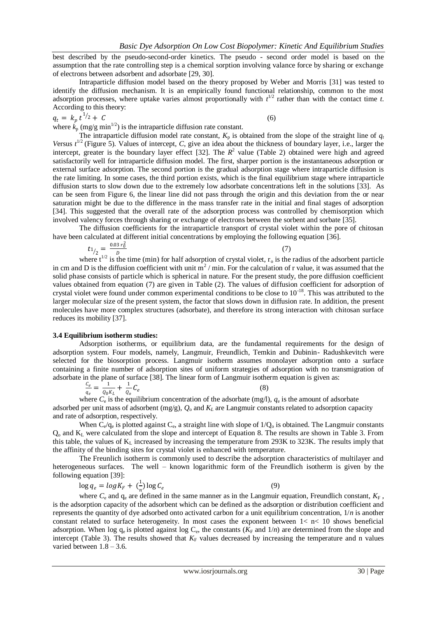best described by the pseudo-second-order kinetics. The pseudo - second order model is based on the assumption that the rate controlling step is a chemical sorption involving valance force by sharing or exchange of electrons between adsorbent and adsorbate [29, 30].

Intraparticle diffusion model based on the theory proposed by Weber and Morris [31] was tested to identify the diffusion mechanism. It is an empirically found functional relationship, common to the most adsorption processes, where uptake varies almost proportionally with  $t^{1/2}$  rather than with the contact time *t*. According to this theory:

 $q_t = k_p t^{1/2}$  $\frac{1}{2} + C$  (6) where  $k_p$  (mg/g min<sup>1/2</sup>) is the intraparticle diffusion rate constant.

The intraparticle diffusion model rate constant,  $K_p$  is obtained from the slope of the straight line of  $q_i$ Versus  $t^{1/2}$  (Figure 5). Values of intercept, *C*, give an idea about the thickness of boundary layer, i.e., larger the intercept, greater is the boundary layer effect [32]. The  $R^2$  value (Table 2) obtained were high and agreed satisfactorily well for intraparticle diffusion model. The first, sharper portion is the instantaneous adsorption or external surface adsorption. The second portion is the gradual adsorption stage where intraparticle diffusion is the rate limiting. In some cases, the third portion exists, which is the final equilibrium stage where intraparticle diffusion starts to slow down due to the extremely low adsorbate concentrations left in the solutions [33]. As can be seen from Figure 6, the linear line did not pass through the origin and this deviation from the or near saturation might be due to the difference in the mass transfer rate in the initial and final stages of adsorption [34]. This suggested that the overall rate of the adsorption process was controlled by chemisorption which involved valency forces through sharing or exchange of electrons between the sorbent and sorbate [35].

The diffusion coefficients for the intraparticle transport of crystal violet within the pore of chitosan have been calculated at different initial concentrations by employing the following equation [36].

$$
t_{1/2} = \frac{0.03 r_0^2}{D} \tag{7}
$$

where  $t^{1/2}$  is the time (min) for half adsorption of crystal violet, r<sub>o</sub> is the radius of the adsorbent particle in cm and D is the diffusion coefficient with unit  $m^2/m$ in. For the calculation of r value, it was assumed that the solid phase consists of particle which is spherical in nature. For the present study, the pore diffusion coefficient values obtained from equation (7) are given in Table (2). The values of diffusion coefficient for adsorption of crystal violet were found under common experimental conditions to be close to 10-18. This was attributed to the larger molecular size of the present system, the factor that slows down in diffusion rate. In addition, the present molecules have more complex structures (adsorbate), and therefore its strong interaction with chitosan surface reduces its mobility [37].

# **3.4 Equilibrium isotherm studies:**

Adsorption isotherms, or equilibrium data, are the fundamental requirements for the design of adsorption system. Four models, namely, Langmuir, Freundlich, Temkin and Dubinin- Radushkevitch were selected for the biosorption process. Langmuir isotherm assumes monolayer adsorption onto a surface containing a finite number of adsorption sites of uniform strategies of adsorption with no transmigration of adsorbate in the plane of surface [38]. The linear form of Langmuir isotherm equation is given as:

$$
\frac{c_e}{q_e} = \frac{1}{\varrho_0 \kappa_L} + \frac{1}{\varrho_o} C_e
$$
\n(8)

where  $C_e$  is the equilibrium concentration of the adsorbate (mg/l),  $q_e$  is the amount of adsorbate adsorbed per unit mass of adsorbent (mg/g), *Q*<sup>o</sup> and *K<sup>L</sup>* are Langmuir constants related to adsorption capacity and rate of adsorption, respectively.

When  $C_e/q_e$  is plotted against  $C_e$ , a straight line with slope of  $1/Q_o$  is obtained. The Langmuir constants Q<sup>o</sup> and K<sup>L</sup> were calculated from the slope and intercept of Equation 8. The results are shown in Table 3. From this table, the values of  $K_L$  increased by increasing the temperature from 293K to 323K. The results imply that the affinity of the binding sites for crystal violet is enhanced with temperature.

The Freunlich isotherm is commonly used to describe the adsorption characteristics of multilayer and heterogeneous surfaces. The well – known logarithmic form of the Freundlich isotherm is given by the following equation [39]:

$$
\log q_e = \log K_F + \left(\frac{1}{r}\right) \log C_e \tag{9}
$$

where  $C_e$  and  $q_e$  are defined in the same manner as in the Langmuir equation, Freundlich constant,  $K_F$ , is the adsorption capacity of the adsorbent which can be defined as the adsorption or distribution coefficient and represents the quantity of dye adsorbed onto activated carbon for a unit equilibrium concentration, 1/*n* is another constant related to surface heterogeneity. In most cases the exponent between  $1 < n < 10$  shows beneficial adsorption. When log  $q_e$  is plotted against log  $C_e$ , the constants  $(K_F \text{ and } 1/n)$  are determined from the slope and intercept (Table 3). The results showed that  $K_F$  values decreased by increasing the temperature and n values varied between  $1.8 - 3.6$ .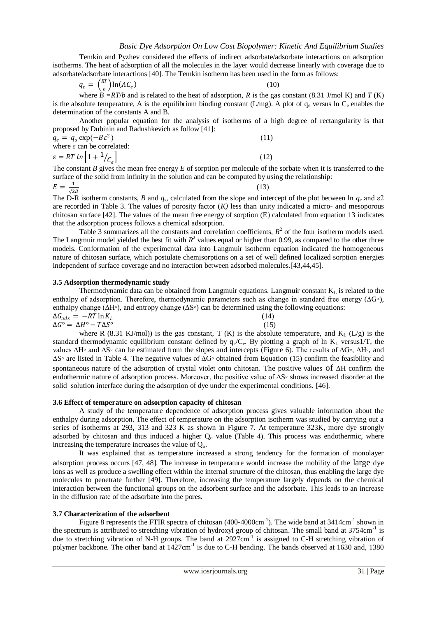Temkin and Pyzhev considered the effects of indirect adsorbate/adsorbate interactions on adsorption isotherms. The heat of adsorption of all the molecules in the layer would decrease linearly with coverage due to adsorbate/adsorbate interactions [40]. The Temkin isotherm has been used in the form as follows:

$$
q_e = \left(\frac{RT}{b}\right) \ln(AC_e) \tag{10}
$$

where  $B = RT/b$  and is related to the heat of adsorption, *R* is the gas constant (8.31 J/mol K) and *T* (K) is the absolute temperature, A is the equilibrium binding constant (L/mg). A plot of  $q_e$  versus ln  $C_e$  enables the determination of the constants A and B.

Another popular equation for the analysis of isotherms of a high degree of rectangularity is that proposed by Dubinin and Radushkevich as follow [41]:

 $q_e = q_s \exp(-B\varepsilon^2)$  $^{2}$ ) (11) where *ε* can be correlated:  $\varepsilon = RT \ln \left[ 1 + \frac{1}{C_e} \right]$  $\sqrt{c}$  (12)

The constant *B* gives the mean free energy *E* of sorption per molecule of the sorbate when it is transferred to the surface of the solid from infinity in the solution and can be computed by using the relationship:

$$
E = \frac{1}{\sqrt{2B}}
$$
(13)

The D-R isotherm constants, *B* and  $q_s$ , calculated from the slope and intercept of the plot between ln  $q_e$  and  $\epsilon 2$ are recorded in Table 3. The values of porosity factor (*K)* less than unity indicated a micro- and mesoporous chitosan surface [42]. The values of the mean free energy of sorption (E) calculated from equation 13 indicates that the adsorption process follows a chemical adsorption.

Table 3 summarizes all the constants and correlation coefficients,  $R^2$  of the four isotherm models used. The Langmuir model yielded the best fit with  $R^2$  values equal or higher than 0.99, as compared to the other three models. Conformation of the experimental data into Langmuir isotherm equation indicated the homogeneous nature of chitosan surface, which postulate chemisorptions on a set of well defined localized sorption energies independent of surface coverage and no interaction between adsorbed molecules.[43,44,45].

#### **3.5 Adsorption thermodynamic study**

Thermodynamic data can be obtained from Langmuir equations. Langmuir constant  $K<sub>L</sub>$  is related to the enthalpy of adsorption. Therefore, thermodynamic parameters such as change in standard free energy (∆G◦), enthalpy change (∆H◦), and entropy change (∆S◦) can be determined using the following equations:

 $\Delta G_{ads} = -RT \ln K_L$  (14)  $\Delta G^{\circ} = \Delta H^{\circ} - T \Delta S^{\circ}$  (15)

where R (8.31 KJ/mol)) is the gas constant, T (K) is the absolute temperature, and  $K_1$  (L/g) is the standard thermodynamic equilibrium constant defined by  $q_e/C_e$ . By plotting a graph of ln  $K_L$  versus1/T, the values ∆H◦ and ∆S◦ can be estimated from the slopes and intercepts (Figure 6). The results of ∆G◦, ∆H◦, and ∆S◦ are listed in Table 4. The negative values of ∆G◦ obtained from Equation (15) confirm the feasibility and spontaneous nature of the adsorption of crystal violet onto chitosan. The positive values of ∆H confirm the endothermic nature of adsorption process. Moreover, the positive value of ∆S◦ shows increased disorder at the solid–solution interface during the adsorption of dye under the experimental conditions. **[**46].

#### **3.6 Effect of temperature on adsorption capacity of chitosan**

A study of the temperature dependence of adsorption process gives valuable information about the enthalpy during adsorption. The effect of temperature on the adsorption isotherm was studied by carrying out a series of isotherms at 293, 313 and 323 K as shown in Figure 7. At temperature 323K, more dye strongly adsorbed by chitosan and thus induced a higher  $Q_0$  value (Table 4). This process was endothermic, where increasing the temperature increases the value of  $Q<sub>o</sub>$ .

It was explained that as temperature increased a strong tendency for the formation of monolayer adsorption process occurs [47, 48]. The increase in temperature would increase the mobility of the large dye ions as well as produce a swelling effect within the internal structure of the chitosan, thus enabling the large dye molecules to penetrate further [49]. Therefore, increasing the temperature largely depends on the chemical interaction between the functional groups on the adsorbent surface and the adsorbate. This leads to an increase in the diffusion rate of the adsorbate into the pores.

#### **3.7 Characterization of the adsorbent**

Figure 8 represents the FTIR spectra of chitosan (400-4000cm<sup>-1</sup>). The wide band at 3414cm<sup>-1</sup> shown in the spectrum is attributed to stretching vibration of hydroxyl group of chitosan. The small band at 3754cm<sup>-1</sup> is due to stretching vibration of N-H groups. The band at 2927cm<sup>-1</sup> is assigned to C-H stretching vibration of polymer backbone. The other band at 1427cm<sup>-1</sup> is due to C-H bending. The bands observed at 1630 and, 1380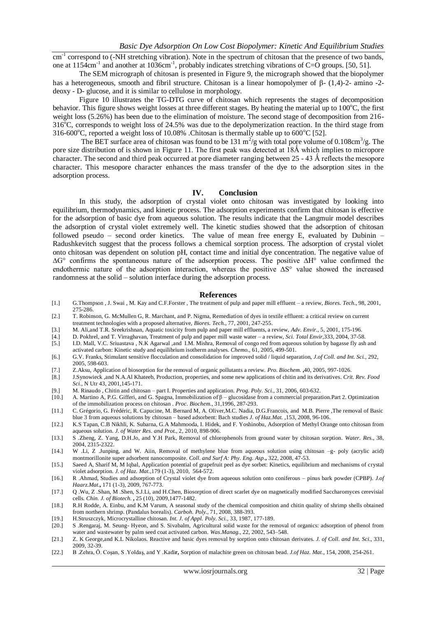cm<sup>-1</sup> correspond to (-NH stretching vibration). Note in the spectrum of chitosan that the presence of two bands, one at 1154cm<sup>-1</sup> and another at 1036cm<sup>-1</sup>, probably indicates stretching vibrations of C=O groups. [50, 51].

The SEM micrograph of chitosan is presented in Figure 9, the micrograph showed that the biopolymer has a heterogeneous, smooth and fibril structure. Chitosan is a linear homopolymer of  $\beta$ - (1,4)-2- amino -2deoxy - D- glucose, and it is similar to cellulose in morphology.

Figure 10 illustrates the TG-DTG curve of chitosan which represents the stages of decomposition behavior. This figure shows weight losses at three different stages. By heating the material up to  $100^{\circ}$ C, the first weight loss (5.26%) has been due to the elimination of moisture. The second stage of decomposition from 216-  $316^{\circ}$ C, corresponds to weight loss of 24.5% was due to the depolymerization reaction. In the third stage from 316-600 °C, reported a weight loss of 10.08% .Chitosan is thermally stable up to  $600$  °C [52].

The BET surface area of chitosan was found to be 131 m<sup>2</sup>/g with total pore volume of 0.108cm<sup>3</sup>/g. The pore size distribution of is shown in Figure 11. The first peak was detected at 18Ǻ which implies to micropore character. The second and third peak occurred at pore diameter ranging between  $25 - 43 \text{ Å}$  reflects the mesopore character. This mesopore character enhances the mass transfer of the dye to the adsorption sites in the adsorption process.

#### **IV. Conclusion**

In this study, the adsorption of crystal violet onto chitosan was investigated by looking into equilibrium, thermodynamics, and kinetic process. The adsorption experiments confirm that chitosan is effective for the adsorption of basic dye from aqueous solution. The results indicate that the Langmuir model describes the adsorption of crystal violet extremely well. The kinetic studies showed that the adsorption of chitosan followed pseudo – second order kinetics. The value of mean free energy E, evaluated by Dubinin – Radushkevitch suggest that the process follows a chemical sorption process. The adsorption of crystal violet onto chitosan was dependent on solution pH, contact time and initial dye concentration. The negative value of ∆G° confirms the spontaneous nature of the adsorption process. The positive ∆H° value confirmed the endothermic nature of the adsorption interaction, whereas the positive ∆S° value showed the increased randomness at the solid – solution interface during the adsorption process.

#### **References**

- [1.] G.Thompson , J. Swai , M. Kay and C.F.Forster , The treatment of pulp and paper mill effluent a review, *Biores. Tech.*, 98, 2001, 275-286.
- [2.] T. Robinson, G. McMullen G, R. Marchant, and P. Nigma, Remediation of dyes in textile effluent: a critical review on current treatment technologies with a proposed alternative, *Biores. Tech.*, 77, 2001, 247-255.
- [3.] M. Ali,and T.R. Sreekrishnan, Aquatic toxicity from pulp and paper mill effluents, a review, *Adv. Envir.*, 5, 2001, 175-196.
- [4.] D. Pokhrel, and T. Virraghavan, Treatment of pulp and paper mill waste water a review, *Sci. Total Envir*,333, 2004, 37-58.
- [5.] I.D. Mall, V.C. Sriuastava , N.K Agarwal ,and I.M. Mishra, Removal of congo red from aqueous solution by bagasse fly ash and activated carbon: Kinetic study and equilibrium isotherm analyses. *Chemo.*, 61, 2005, 499-501.
- [6.] G.V. Franks, Stimulant sensitive flocculation and consolidation for improved solid / liquid separation, *J.of Coll. and Int. Sci.*, 292, 2005, 598-603.
- [7.] Z.Aksu, Application of biosorption for the removal of organic pollutants a review. *Pro. Biochem.* **,**40, 2005, 997-1026.
- [8.] J.Synowieck ,and N.A.Al Khateeb, Production, properties, and some new applications of chitin and its derivatives. *Crit. Rev. Food Sci.*, N Utr 43, 2001,145-171.
- [9.] M. Rinaudo , Chitin and chitosan part I. Properties and application. *Prog. Poly. Sci.*, 31, 2006, 603-632.
- [10.] A. Martino A, P.G. Gifferi, and G. Spagna, Immobilization of β glucosidase from a commercial preparation.Part 2. Optimization of the immobilization process on chitosan . *Proc. Biochem.*, 31,1996, 287-293.
- [11.] C. Grégorio, G. Frédéric, R. Capucine, M. Bernard M, A. Oliver,M.C. Nadia, D.G.Francois, and M.B. Pierre ,The removal of Basic blue 3 from aqueous solutions by chitosan – based adsorbent: Bach studies *J. of Haz.Mat.* ,153, 2008, 96-106.
- [12.] K.S Tapan, C.B Nikhli, K. Subarna, G.A Mahmooda, I. Hidek, and F. Yoshinobu, Adsorption of Methyl Orange onto chitosan from aqueous solution. *J. of Water Res. and Prot.*, 2, 2010, 898-906.
- [13.] S .Zheng, Z. Yang, D.H.Jo, and Y.H Park, Removal of chlorophenols from ground water by chitosan sorption. *Water. Res*., 38, 2004, 2315-2322.
- [14.] W .Li, Z .Junping, and W. Aiin, Removal of methylene blue from aqueous solution using chitosan –g- poly (acrylic acid) montmorillonite super adsorbent nanocomposite. *Coll. and Surf A: Phy. Eng. Asp*.**,** 322, 2008, 47-53.
- [15.] Saeed A, Sharif M, M Iqbal, Application potential of grapefruit peel as dye sorbet: Kinetics, equilibrium and mechanisms of crystal violet adsorption. *J. of Haz. Mat.*,179 (1-3), 2010, 564-572.
- [16.] R .Ahmad, Studies and adsorption of Crystal violet dye from aqueous solution onto coniferous pinus bark powder (CPBP). *J.of Haarz.Mat*.**,** 171 (1-3), 2009, 767-773.
- [17.] Q .Wu, Z .Shan, M .Shen, S.J.Li, and H.Chen, Biosorption of direct scarlet dye on magnetically modified Saccharomyces cerevisial cells. *Chin. J. of Biotech.* **,** 25 (10), 2009,1477-1482.
- [18.] R.H Rodde, A. Einbu, and K.M Varum, A seasonal study of the chemical composition and chitin quality of shrimp shells obtained from northern shrimp. (Pandalus borealis). *Carboh. Poly.*, 71, 2008, 388-393.
- [19.] H.Struszczyk, Microcrystalline chitosan. *Int. J. of Appl. Poly. Sci.,* 33, 1987, 177-189.
- [20.] S .Rengaraj, M. Seung- Hyeon, and S. Sivabalm, Agricultural solid waste for the removal of organics: adsorption of phenol from water and wastewater by palm seed coat activated carbon. *Was.Manag.*, 22, 2002, 543–548.
- [21.] Z. K George,and K.L Nikolaos. Reactive and basic dyes removal by sorption onto chitosan derivates. *J. of Coll. and Int. Sci.*, 331, 2009, 32-39.
- [22.] B .Zehra, Ö. Coşan, S .Yoldaş, and Y .Kadi**r,** Sorption of malachite green on chitosan bead. *J.of Haz. Mat.*, 154, 2008, 254-261.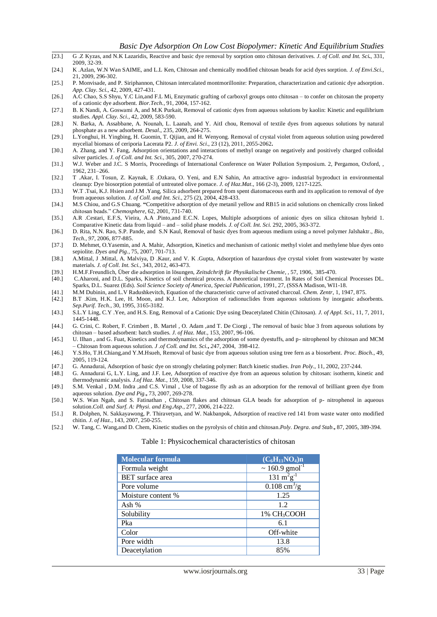- [23.] G .Z Kyzas, and N.K Lazaridis, Reactive and basic dye removal by sorption onto chitosan derivatives. *J. of Coll. and Int. Sci.*, 331*,* 2009, 32-39.
- [24.] K .Azlan, W.N Wan SAIME, and L.L Ken, Chitosan and chemically modified chitosan beads for acid dyes sorption. *J. of Envi.Sci.,* 21, 2009, 296-302.
- [25.] P. Monvisade, and P. Siriphannon, Chitosan intercalated montmorillonite: Preparation, characterization and cationic dye adsorption. *App. Clay. Sci.*, 42, 2009, 427-431.
- [26.] A.C Chao, S.S Shyu, Y.C Lin,and F.L Mi, Enzymatic grafting of carboxyl groups onto chitosan to confer on chitosan the property of a cationic dye adsorbent. *Bior.Tech.*, 91, 2004, 157-162.
- [27.] B. K Nandi, A. Goswami A, and M.K Purkait, Removal of cationic dyes from aqueous solutions by kaolin: Kinetic and equilibrium studies. *Appl. Clay. Sci.,* 42, 2009, 583-590.
- [28.] N. Barka, A. Assabbane, A. Nounah, L. Laanab, and Y. AitI chou, Removal of textile dyes from aqueous solutions by natural phosphate as a new adsorbent. *Desal*., 235, 2009, 264-275.
- [29.] L.Yonghui, H. Yingbing, H. Guomin, T. Qijian, and H. Wenyong. Removal of crystal violet from aqueous solution using powdered mycelial biomass of ceriporia Lacerata P2. *J. of Envi. Sci*., 23 (12), 2011, 2055-2062**.**
- [30.] A. Zhang, and Y. Fang, Adsorption orientations and interactions of methyl orange on negatively and positively charged colloidal silver particles. *J. of Coll. and Int. Sci.,* 305, 2007, 270-274.
- [31.] W.J. Weber and J.C. S Morris, Proceedings of International Conference on Water Pollution Symposium. 2, Pergamon, Oxford, , 1962, 231–266.
- [32.] T .Akar, I. Tosun, Z. Kaynak, E .Ozkara, O. Yeni, and E.N Sahin, An attractive agro- industrial byproduct in environmental cleanup: Dye biosorption potential of untreated olive pomace. *J. of Haz.Mat.*, 166 (2-3), 2009, 1217-1225.
- [33.] W.T .Tsai, K.J. Hsien and J.M .Yang, Silica adsorbent prepared from spent diatomaceous earth and its application to removal of dye from aqueous solution*. J. of Coll. and Int. Sci.*, 275 (2), 2004, 428-433.
- [34.] M.S Chiou, and G.S Chuang. **"**Competitive adsorption of dye metanil yellow and RB15 in acid solutions on chemically cross linked chitosan beads." *Chemosphere,* 62, 2001, 731-740.
- [35.] A.R .Cestari, E.F.S, Vieira, A.A .Pinto,and E.C.N. Lopes, Multiple adsorptions of anionic dyes on silica chitosan hybrid 1. Comparative Kinetic data from liquid – and – solid phase models. *J. of Coll. Int. Sci.* 292, 2005, 363-372.
- [36.] D. Rita, N.N. Rao, S.P. Pande, and S.N Kaul, Removal of basic dyes from aqueous medium using a novel polymer Jalshaktr*., Bio, Tech., 97*, 2006, 877-885.
- [37.] D. Mehmet, O.Yasemin, and A. Mahir, Adsorption, Kinetics and mechanism of cationic methyl violet and methylene blue dyes onto sepiolite. *Dyes and Pig.,* 75, 2007, 701-713.
- [38.] A.Mittal, J .Mittal, A. Malviya, D .Kaur, and V. K .Gupta, Adsorption of hazardous dye crystal violet from wastewater by waste materials. *J. of Coll. Int. Sci.,* 343, 2012, 463-473.
- [39.] H.M.F.Freundlich, Über die adsorption in lösungen, *Zeitsdchrift für Physikalische Chemie,* , 57, 1906, 385-470.
- [40.] C.Aharoni, and D.L. Sparks, Kinetics of soil chemical process. A theoretical treatment. In Rates of Soil Chemical Processes DL. Sparks, D.L. Suarez (Eds). *Soil Science Society of America*, *Special Publication*, 1991, 27, (SSSA Madison, WI1-18.
- [41.] M.M Dubinin, and L.V Radushkevitch, Equation of the characteristic curve of activated charcoal. *Chem. Zentr*, 1, 1947, 875.
- [42.] B.T .Kim, H.K. Lee, H. Moon, and K.J. Lee, Adsorption of radionuclides from aqueous solutions by inorganic adsorbents. *Sep.Purif. Tech.,* 30, 1995, 3165-3182.
- [43.] S.L.Y Ling, C.Y .Yee, and H.S. Eng, Removal of a Cationic Dye using Deacetylated Chitin (Chitosan). *J. of Appl. Sci.*, 11, 7, 2011, 1445-1448.
- [44.] G. Crini, C. Robert, F. Crimbert , B. Martel , O. Adam ,and T. De Ciorgi , The removal of basic blue 3 from aqueous solutions by chitosan – based adsorbent: batch studies. *J. of Haz. Mat.*, 153, 2007, 96-106.
- [45.] U. Ilhan , and G. Fuat, Kinetics and thermodynamics of the adsorption of some dyestuffs, and p- nitrophenol by chitosan and MCM – Chitosan from aqueous solution. *J .of Coll. and Int. Sci.***,** *2*47, 2004, 398-412.
- [46.] Y.S.Ho, T.H.Chiang,and Y.M.Hsueh, Removal of basic dye from aqueous solution using tree fern as a biosorbent. *Proc. Bioch.*, 49, 2005, 119-124.
- [47.] G. Annadurai, Adsorption of basic dye on strongly chelating polymer: Batch kinetic studies. *Iran Poly.*, 11, 2002, 237-244.
- [48.] G. Annadurai G, L.Y. Ling, and J.F. Lee, Adsorption of reactive dye from an aqueous solution by chitosan: isotherm, kinetic and thermodynamic analysis. *J.of Haz. Mat.*, 159, 2008, 337-346.
- [49.] S.M. Venkal , D.M. Indra ,and C.S. Vimal , Use of bagasse fly ash as an adsorption for the removal of brilliant green dye from aqueous solution. *Dye and Pig.***,** 73, 2007, 269-278.
- [50.] W.S. Wan Ngah, and S. Fatinathan , Chitosan flakes and chitosan GLA beads for adsorption of p- nitrophenol in aqueous solution.*Coll. and Surf. A: Physi. and Eng.Asp.,* 277, 2006, 214-222.
- [51.] R. Dolphen, N. Sakkayawong, P. Thiravetyan, and W. Nakbanpok, Adsorption of reactive red 141 from waste water onto modified chitin. *J. of Haz.*, 143, 2007, 250-255.
- [52.] W. Tang, C. Wang,and D. Chem, Kinetic studies on the pyrolysis of chitin and chitosan.*Poly. Degra. and Stab.***,** 87, 2005, 389-394.

#### Table 1: Physicochemical characteristics of chitosan

| <b>Molecular formula</b> | $(C_6H_{11}NO_4)n$                                                    |  |
|--------------------------|-----------------------------------------------------------------------|--|
| Formula weight           | $\sim 160.9$ gmol <sup>-1</sup>                                       |  |
| <b>BET</b> surface area  | $\frac{131 \text{ m}^2 \text{g}^{-1}}{131 \text{ m}^2 \text{g}^{-1}}$ |  |
| Pore volume              | $0.108 \text{ cm}^3/\text{g}$                                         |  |
| Moisture content %       | 1.25                                                                  |  |
| Ash $%$                  | 12                                                                    |  |
| Solubility               | 1% CH <sub>3</sub> COOH                                               |  |
| Pka                      | 6.1                                                                   |  |
| Color                    | Off-white                                                             |  |
| Pore width               | 13.8                                                                  |  |
| Deacetylation            | 85%                                                                   |  |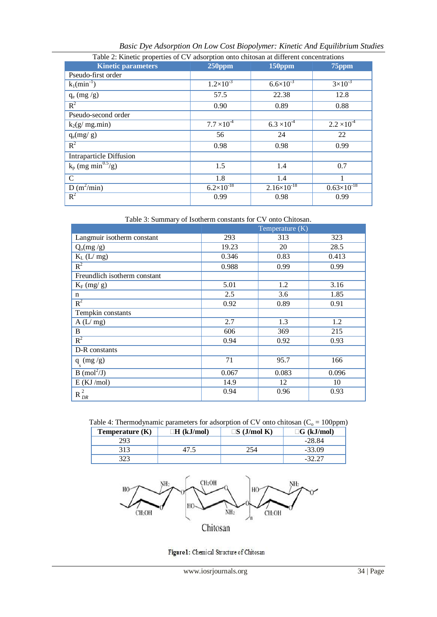| Table 2: Kinetic properties of CV adsorption onto chitosan at different concentrations |                      |                        |                        |
|----------------------------------------------------------------------------------------|----------------------|------------------------|------------------------|
| <b>Kinetic parameters</b>                                                              | $250$ ppm            | 150ppm                 | $75$ ppm               |
| Pseudo-first order                                                                     |                      |                        |                        |
| $k_1(min^{-1})$                                                                        | $1.2 \times 10^{-3}$ | $6.6 \times 10^{-3}$   | $3 \times 10^{-3}$     |
| $q_e$ (mg /g)                                                                          | 57.5                 | 22.38                  | 12.8                   |
| $R^2$                                                                                  | 0.90                 | 0.89                   | 0.88                   |
| Pseudo-second order                                                                    |                      |                        |                        |
| $k_2(g/mg.min)$                                                                        | $7.7 \times 10^{-4}$ | $6.3 \times 10^{-4}$   | $2.2 \times 10^{-4}$   |
| $q_e(mg/g)$                                                                            | 56                   | 24                     | 22                     |
| $R^2$                                                                                  | 0.98                 | 0.98                   | 0.99                   |
| <b>Intraparticle Diffusion</b>                                                         |                      |                        |                        |
| $k_p$ (mg min <sup>0.5</sup> /g)                                                       | 1.5                  | 1.4                    | 0.7                    |
| $\mathsf{C}$                                                                           | 1.8                  | 1.4                    |                        |
| $D(m^2/min)$                                                                           | $6.2\times10^{-18}$  | $2.16 \times 10^{-18}$ | $0.63 \times 10^{-18}$ |
| $R^2$                                                                                  | 0.99                 | 0.98                   | 0.99                   |

*Basic Dye Adsorption On Low Cost Biopolymer: Kinetic And Equilibrium Studies* 

| Table 3: Summary of Isotherm constants for CV onto Chitosan. |  |  |
|--------------------------------------------------------------|--|--|
|--------------------------------------------------------------|--|--|

|                                         | Temperature $(K)$ |       |       |
|-----------------------------------------|-------------------|-------|-------|
| Langmuir isotherm constant              | 293               | 313   | 323   |
| $Q_0(mg/g)$                             | 19.23             | 20    | 28.5  |
| $K_L$ (L/ mg)                           | 0.346             | 0.83  | 0.413 |
| $R^2$                                   | 0.988             | 0.99  | 0.99  |
| Freundlich isotherm constant            |                   |       |       |
| $K_F$ (mg/ g)                           | 5.01              | 1.2   | 3.16  |
| n                                       | 2.5               | 3.6   | 1.85  |
| $R^2$                                   | 0.92              | 0.89  | 0.91  |
| Tempkin constants                       |                   |       |       |
| A(L/mg)                                 | 2.7               | 1.3   | 1.2   |
| B                                       | 606               | 369   | 215   |
| $R^2$                                   | 0.94              | 0.92  | 0.93  |
| D-R constants                           |                   |       |       |
| q $(mg/g)$<br>-s                        | 71                | 95.7  | 166   |
| $\overline{B \text{ (mol}^2/\text{J})}$ | 0.067             | 0.083 | 0.096 |
| $E$ (KJ/mol)                            | 14.9              | 12    | 10    |
| $\sqrt{2}$<br>$R_{DR}^-$                | 0.94              | 0.96  | 0.93  |

Table 4: Thermodynamic parameters for adsorption of CV onto chitosan ( $C_0 = 100$ ppm)

| Temperature $(K)$ | $\Box H$ (kJ/mol) | $\Box S$ (J/mol K) | $\Box G$ (kJ/mol) |
|-------------------|-------------------|--------------------|-------------------|
| 293               |                   |                    | $-28.84$          |
| 313               |                   | .54                | $-33.09$          |
|                   |                   |                    | . <u>.</u>        |



Figure 1: Chemical Structure of Chitosan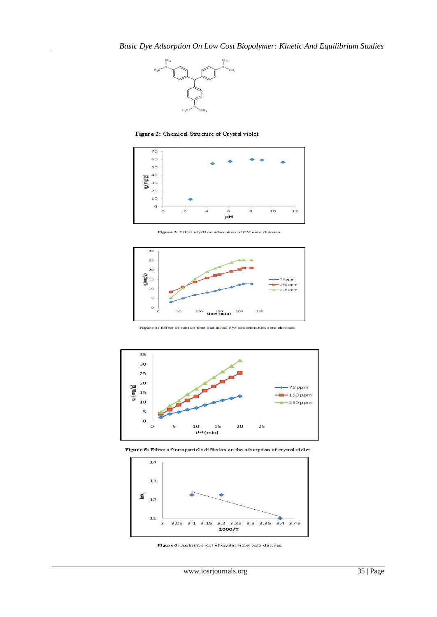

Figure 2: Chemical Structure of Crystal violet



Figure 3: Effect of pH on adsorption of CV onto chitosan



Figure 4: Effect of contact time and initial dye concentration onto chitosan



Figure 5: Effect of intraparticle diffusion on the adsorption of crystal violet



Figure 6: Arrhenius plot of crystal violet onto chitosan